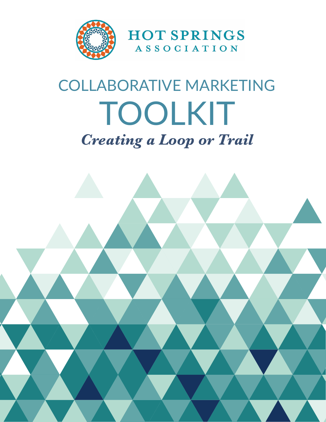

# COLLABORATIVE MARKETING TOOLKIT *Creating a Loop or Trail*

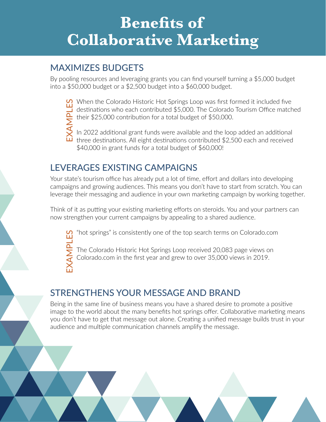## **Benefits of Collaborative Marketing**

### MAXIMIZES BUDGETS

By pooling resources and leveraging grants you can find yourself turning a \$5,000 budget into a \$50,000 budget or a \$2,500 budget into a \$60,000 budget.

When the Colorado Historic Hot Springs Loop was first formed it included five destinations who each contributed \$5,000. The Colorado Tourism Office matched their \$25,000 contribution for a total budget of \$50,000.

In 2022 additional grant funds were available and the loop added an additional three destinations. All eight destinations contributed \$2,500 each and received \$40,000 in grant funds for a total budget of \$60,000!

### LEVERAGES EXISTING CAMPAIGNS

Your state's tourism office has already put a lot of time, effort and dollars into developing campaigns and growing audiences. This means you don't have to start from scratch. You can leverage their messaging and audience in your own marketing campaign by working together.

Think of it as putting your existing marketing efforts on steroids. You and your partners can now strengthen your current campaigns by appealing to a shared audience.

"hot springs" is consistently one of the top search terms on Colorado.com

The Colorado Historic Hot Springs Loop received 20,083 page views on Colorado.com in the first year and grew to over 35,000 views in 2019.

### STRENGTHENS YOUR MESSAGE AND BRAND

Being in the same line of business means you have a shared desire to promote a positive image to the world about the many benefits hot springs offer. Collaborative marketing means you don't have to get that message out alone. Creating a unified message builds trust in your When the Colorado Historic Hot Springs Loop was first formulated and contributed \$5,000. The Colorado The Colorado and contributed state of \$60,000.<br>
In 2022 additional grant funds were available and the loop in three des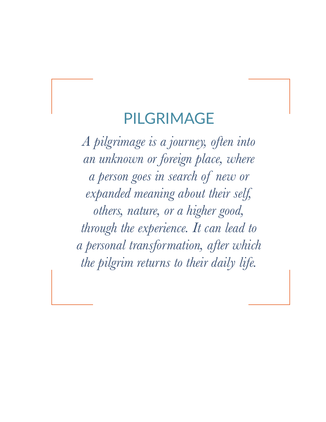### PILGRIMAGE

*A pilgrimage is a journey, often into an unknown or foreign place, where a person goes in search of new or expanded meaning about their self, others, nature, or a higher good, through the experience. It can lead to a personal transformation, after which the pilgrim returns to their daily life.*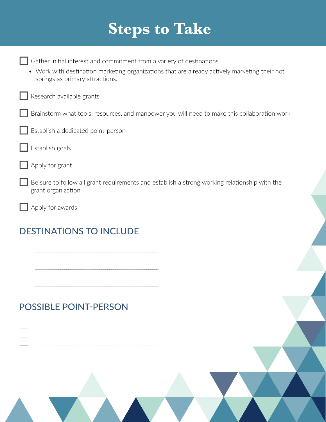## **Steps to Take**

| Gather initial interest and commitment from a variety of destinations<br>• Work with destination marketing organizations that are already actively marketing their hot<br>springs as primary attractions. |
|-----------------------------------------------------------------------------------------------------------------------------------------------------------------------------------------------------------|
| Research available grants                                                                                                                                                                                 |
| Brainstorm what tools, resources, and manpower you will need to make this collaboration work                                                                                                              |
| Establish a dedicated point-person                                                                                                                                                                        |
| Establish goals                                                                                                                                                                                           |
| Apply for grant                                                                                                                                                                                           |
| Be sure to follow all grant requirements and establish a strong working relationship with the<br>grant organization                                                                                       |
| Apply for awards                                                                                                                                                                                          |
| <b>DESTINATIONS TO INCLUDE</b><br><u> 1989 - Johann Barnett, fransk politik (d. 1989)</u>                                                                                                                 |
| the control of the control of the control of the control of the control of<br><b>POSSIBLE POINT-PERSON</b>                                                                                                |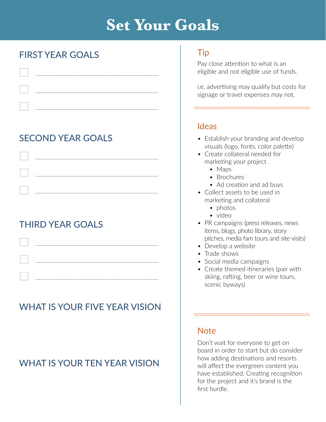## **Set Your Goals**

### FIRST YEAR GOALS

| and the contract of the contract of            |
|------------------------------------------------|
|                                                |
| $\begin{bmatrix} 1 & 1 \\ 1 & 1 \end{bmatrix}$ |

### SECOND YEAR GOALS



### THIRD YEAR GOALS

### WHAT IS YOUR FIVE YEAR VISION

### WHAT IS YOUR TEN YEAR VISION

#### Tip

Pay close attention to what is an eligible and not eligible use of funds.

i.e. advertising may qualify but costs for signage or travel expenses may not.

<u>mmmmmmmmmmmmm</u>

#### Ideas

- Establish your branding and develop visuals (logo, fonts, color palette)
- Create collateral needed for marketing your project
	- Maps
	- Brochures
	- Ad creation and ad buys
- Collect assets to be used in marketing and collateral
	- photos
	- video
- PR campaigns (press releases, news items, blogs, photo library, story pitches, media fam tours and site visits)
- Develop a website
- Trade shows
- Social media campaigns
- Create themed itineraries (pair with skiing, rafting, beer or wine tours, scenic byways)

 $\begin{minipage}{0.5\linewidth} \begin{minipage}{0.5\linewidth} \end{minipage} \begin{minipage}{0.5\linewidth} \begin{minipage}{0.5\linewidth} \end{minipage} \begin{minipage}{0.5\linewidth} \end{minipage} \begin{minipage}{0.5\linewidth} \end{minipage} \begin{minipage}{0.5\linewidth} \end{minipage} \begin{minipage}{0.5\linewidth} \end{minipage} \begin{minipage}{0.5\linewidth} \end{minipage} \begin{minipage}{0.5\linewidth} \end{minipage} \begin{minipage}{0.5\linewidth} \end{minipage} \begin{minipage}{0.5\linewidth} \$ 

#### **Note**

Don't wait for everyone to get on board in order to start but do consider how adding destinations and resorts will affect the evergreen content you have established. Creating recognition for the project and it's brand is the first hurdle.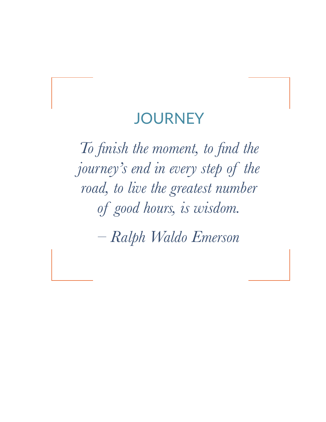### **JOURNEY**

*To finish the moment, to find the journey's end in every step of the road, to live the greatest number of good hours, is wisdom.* 

*– Ralph Waldo Emerson*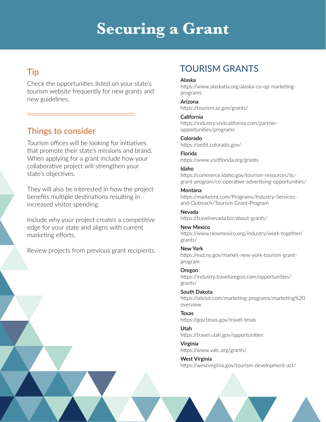## **Securing a Grant**

#### Tip

Check the opportunities listed on your state's tourism website frequently for new grants and new guidelines.

#### Things to consider

Tourism offices will be looking for initiatives that promote their state's missions and brand. When applying for a grant include how your collaborative project will strengthen your state's objectives.

They will also be interested in how the project benefits multiple destinations resulting in increased visitor spending.

Include why your project creates a competitive edge for your state and aligns with current marketing efforts.

Review projects from previous grant recipients.

### TOURISM GRANTS

#### **Alaska**

https://www.alaskatia.org/alaska-co-op-marketingprograms

#### **Arizona**

https://tourism.az.gov/grants/

#### **California**

https://industry.visitcalifornia.com/partneropportunities/programs

**Colorado** https://oedit.colorado.gov/

#### **Florida** https://www.visitflorida.org/grants

#### **Idaho**

https://commerce.idaho.gov/tourism-resources/itcgrant-program/co-operative-advertising-opportunities/

#### **Montana**

https://marketmt.com/Programs/Industry-Servicesand-Outreach/Tourism-Grant-Program

**Nevada** https://travelnevada.biz/about-grants/

#### **New Mexico** https://www.newmexico.org/industry/work-together/ grants/

**New York** https://esd.ny.gov/market-new-york-tourism-grantprogram

**Oregon** https://industry.traveloregon.com/opportunities/ grants/

**South Dakota** https://sdvisit.com/marketing-programs/marketing%20 overview

**Texas** https://gov.texas.gov/travel-texas

**Utah** https://travel.utah.gov/opportunities

**Virginia** https://www.vatc.org/grants/

**West Virginia** https://westvirginia.gov/tourism-development-act/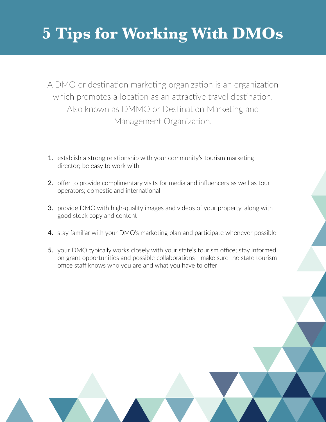## **5 Tips for Working With DMOs**

A DMO or destination marketing organization is an organization which promotes a location as an attractive travel destination. Also known as DMMO or Destination Marketing and Management Organization.

- 1. establish a strong relationship with your community's tourism marketing director; be easy to work with
- 2. offer to provide complimentary visits for media and influencers as well as tour operators; domestic and international
- **3.** provide DMO with high-quality images and videos of your property, along with good stock copy and content
- 4. stay familiar with your DMO's marketing plan and participate whenever possible
- 5. your DMO typically works closely with your state's tourism office; stay informed on grant opportunities and possible collaborations - make sure the state tourism office staff knows who you are and what you have to offer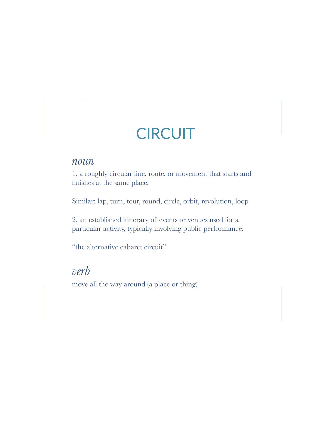## **CIRCUIT**

#### *noun*

1. a roughly circular line, route, or movement that starts and finishes at the same place.

Similar: lap, turn, tour, round, circle, orbit, revolution, loop

2. an established itinerary of events or venues used for a particular activity, typically involving public performance.

"the alternative cabaret circuit"

### *verb*

move all the way around (a place or thing)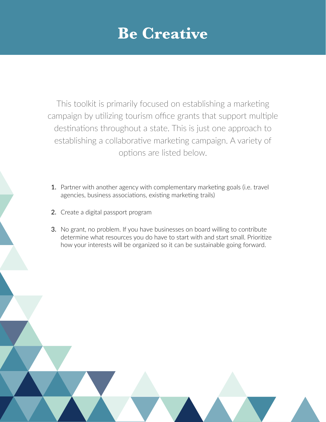## **Be Creative**

This toolkit is primarily focused on establishing a marketing campaign by utilizing tourism office grants that support multiple destinations throughout a state. This is just one approach to establishing a collaborative marketing campaign. A variety of options are listed below.

- 1. Partner with another agency with complementary marketing goals (i.e. travel agencies, business associations, existing marketing trails)
- 2. Create a digital passport program
- 3. No grant, no problem. If you have businesses on board willing to contribute determine what resources you do have to start with and start small. Prioritize how your interests will be organized so it can be sustainable going forward.